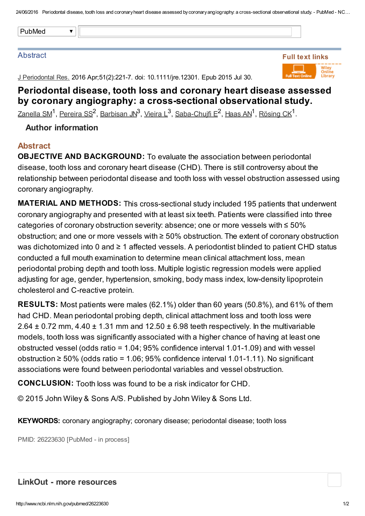24/06/2016 Periodontal disease, tooth loss and coronaryheart disease assessed bycoronaryangiography: a cross-sectional observational study. - PubMed - NC…

#### **Abstract**

J Periodontal Res. 2016 Apr;51(2):221-7. doi: 10.1111/jre.12301. Epub 2015 Jul 30.



# Periodontal disease, tooth loss and coronary heart disease assessed by coronary angiography: a cross-sectional observational study.

[Zanella](http://www.ncbi.nlm.nih.gov/pubmed/?term=Zanella%20SM%5BAuthor%5D&cauthor=true&cauthor_uid=26223630) SM<sup>1</sup>, <u>[Pereira](http://www.ncbi.nlm.nih.gov/pubmed/?term=Pereira%20SS%5BAuthor%5D&cauthor=true&cauthor_uid=26223630) SS<sup>2</sup>, [Barbisan](http://www.ncbi.nlm.nih.gov/pubmed/?term=Barbisan%20JN%5BAuthor%5D&cauthor=true&cauthor_uid=26223630) JN<sup>3</sup>, [Vieira](http://www.ncbi.nlm.nih.gov/pubmed/?term=Vieira%20L%5BAuthor%5D&cauthor=true&cauthor_uid=26223630) L<sup>3</sup>, [Saba-Chujfi](http://www.ncbi.nlm.nih.gov/pubmed/?term=Saba-Chujfi%20E%5BAuthor%5D&cauthor=true&cauthor_uid=26223630) E<sup>2</sup>, [Haas](http://www.ncbi.nlm.nih.gov/pubmed/?term=Haas%20AN%5BAuthor%5D&cauthor=true&cauthor_uid=26223630) AN<sup>1</sup>, [Rösing](http://www.ncbi.nlm.nih.gov/pubmed/?term=R%C3%B6sing%20CK%5BAuthor%5D&cauthor=true&cauthor_uid=26223630) CK<sup>1</sup>.</u>

### Author information

#### Abstract

OBJECTIVE AND BACKGROUND: To evaluate the association between periodontal disease, tooth loss and coronary heart disease (CHD). There is still controversy about the relationship between periodontal disease and tooth loss with vessel obstruction assessed using coronary angiography.

MATERIAL AND METHODS: This cross-sectional study included 195 patients that underwent coronary angiography and presented with at least six teeth. Patients were classified into three categories of coronary obstruction severity: absence; one or more vessels with ≤ 50% obstruction; and one or more vessels with ≥ 50% obstruction. The extent of coronary obstruction was dichotomized into 0 and ≥ 1 affected vessels. A periodontist blinded to patient CHD status conducted a full mouth examination to determine mean clinical attachment loss, mean periodontal probing depth and tooth loss. Multiple logistic regression models were applied adjusting for age, gender, hypertension, smoking, body mass index, low-density lipoprotein cholesterol and C-reactive protein.

RESULTS: Most patients were males (62.1%) older than 60 years (50.8%), and 61% of them had CHD. Mean periodontal probing depth, clinical attachment loss and tooth loss were 2.64  $\pm$  0.72 mm, 4.40  $\pm$  1.31 mm and 12.50  $\pm$  6.98 teeth respectively. In the multivariable models, tooth loss was significantly associated with a higher chance of having at least one obstructed vessel (odds ratio = 1.04; 95% confidence interval 1.01-1.09) and with vessel obstruction ≥ 50% (odds ratio = 1.06; 95% confidence interval 1.01-1.11). No significant associations were found between periodontal variables and vessel obstruction.

CONCLUSION: Tooth loss was found to be a risk indicator for CHD.

© 2015 John Wiley & Sons A/S. Published by John Wiley & Sons Ltd.

KEYWORDS: coronary angiography; coronary disease; periodontal disease; tooth loss

PMID: 26223630 [PubMed - in process]

#### LinkOut - more resources